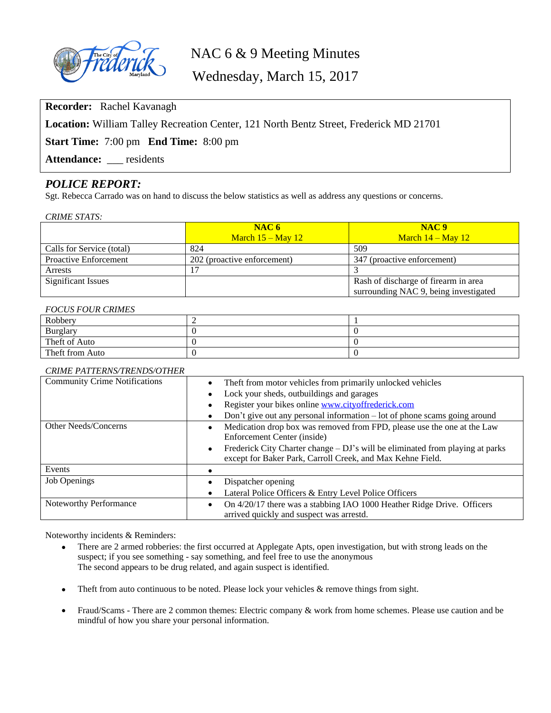

# NAC 6 & 9 Meeting Minutes

Wednesday, March 15, 2017

**Recorder:** Rachel Kavanagh

**Location:** William Talley Recreation Center, 121 North Bentz Street, Frederick MD 21701

**Start Time:** 7:00 pm **End Time:** 8:00 pm

Attendance: \_\_\_ residents

# *POLICE REPORT:*

Sgt. Rebecca Carrado was on hand to discuss the below statistics as well as address any questions or concerns.

| <b>CRIME STATS:</b> |
|---------------------|
|                     |
|                     |

|                              | NAC6                        | NAC9                                  |
|------------------------------|-----------------------------|---------------------------------------|
|                              | March $15 -$ May $12$       | March $14 -$ May $12$                 |
| Calls for Service (total)    | 824                         | 509                                   |
| <b>Proactive Enforcement</b> | 202 (proactive enforcement) | 347 (proactive enforcement)           |
| Arrests                      |                             |                                       |
| Significant Issues           |                             | Rash of discharge of firearm in area  |
|                              |                             | surrounding NAC 9, being investigated |

#### *FOCUS FOUR CRIMES*

| Robbery         |  |
|-----------------|--|
| Burglary        |  |
| Theft of Auto   |  |
| Theft from Auto |  |

#### *CRIME PATTERNS/TRENDS/OTHER*

| <b>Community Crime Notifications</b> | Theft from motor vehicles from primarily unlocked vehicles                                                                                               |  |
|--------------------------------------|----------------------------------------------------------------------------------------------------------------------------------------------------------|--|
|                                      | Lock your sheds, outbuildings and garages                                                                                                                |  |
|                                      | Register your bikes online www.cityoffrederick.com                                                                                                       |  |
|                                      | Don't give out any personal information – lot of phone scams going around                                                                                |  |
| Other Needs/Concerns                 | Medication drop box was removed from FPD, please use the one at the Law<br>Enforcement Center (inside)                                                   |  |
|                                      | Frederick City Charter change – DJ's will be eliminated from playing at parks<br>$\bullet$<br>except for Baker Park, Carroll Creek, and Max Kehne Field. |  |
| Events                               |                                                                                                                                                          |  |
| Job Openings                         | Dispatcher opening                                                                                                                                       |  |
|                                      | Lateral Police Officers & Entry Level Police Officers                                                                                                    |  |
| Noteworthy Performance               | On 4/20/17 there was a stabbing IAO 1000 Heather Ridge Drive. Officers<br>arrived quickly and suspect was arrestd.                                       |  |

Noteworthy incidents & Reminders:

- There are 2 armed robberies: the first occurred at Applegate Apts, open investigation, but with strong leads on the suspect; if you see something - say something, and feel free to use the anonymous The second appears to be drug related, and again suspect is identified.
- Theft from auto continuous to be noted. Please lock your vehicles  $\&$  remove things from sight.
- Fraud/Scams There are 2 common themes: Electric company & work from home schemes. Please use caution and be mindful of how you share your personal information.